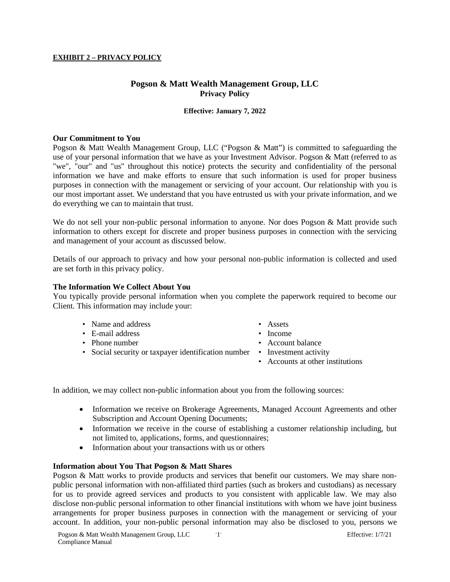## **EXHIBIT 2 – PRIVACY POLICY**

# **Pogson & Matt Wealth Management Group, LLC Privacy Policy**

## **Effective: January 7, 2022**

#### **Our Commitment to You**

Pogson & Matt Wealth Management Group, LLC ("Pogson & Matt") is committed to safeguarding the use of your personal information that we have as your Investment Advisor. Pogson & Matt (referred to as "we", "our" and "us" throughout this notice) protects the security and confidentiality of the personal information we have and make efforts to ensure that such information is used for proper business purposes in connection with the management or servicing of your account. Our relationship with you is our most important asset. We understand that you have entrusted us with your private information, and we do everything we can to maintain that trust.

We do not sell your non-public personal information to anyone. Nor does Pogson & Matt provide such information to others except for discrete and proper business purposes in connection with the servicing and management of your account as discussed below.

Details of our approach to privacy and how your personal non-public information is collected and used are set forth in this privacy policy.

## **The Information We Collect About You**

You typically provide personal information when you complete the paperwork required to become our Client. This information may include your:

- Name and address Assets
- E-mail address Income
- 
- Social security or taxpayer identification number Investment activity
- 
- 
- Phone number Account balance
	-
	- Accounts at other institutions

In addition, we may collect non-public information about you from the following sources:

- Information we receive on Brokerage Agreements, Managed Account Agreements and other Subscription and Account Opening Documents;
- Information we receive in the course of establishing a customer relationship including, but not limited to, applications, forms, and questionnaires;
- Information about your transactions with us or others

## **Information about You That Pogson & Matt Shares**

Pogson & Matt works to provide products and services that benefit our customers. We may share nonpublic personal information with non-affiliated third parties (such as brokers and custodians) as necessary for us to provide agreed services and products to you consistent with applicable law. We may also disclose non-public personal information to other financial institutions with whom we have joint business arrangements for proper business purposes in connection with the management or servicing of your account. In addition, your non-public personal information may also be disclosed to you, persons we